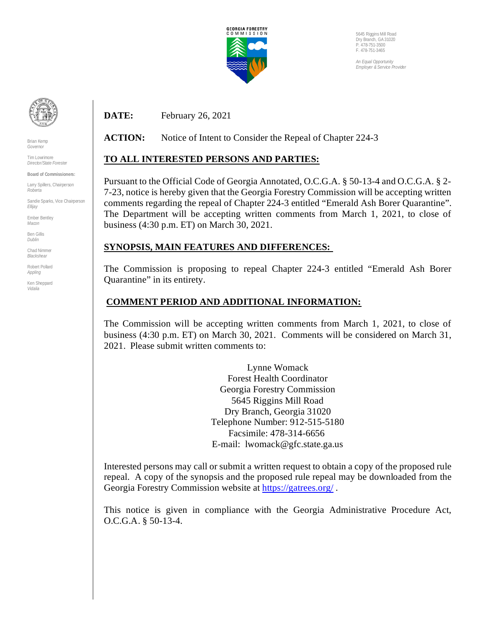

5645 Riggins Mill Road Dry Branch, GA 31020 P. 478-751-3500 F. 478-751-3465

*An Equal Opportunity Employer & Service Provider*



Brian Kemp *Governor*

Tim Lowrimore *Director/State Forester*

**Board of Commissioners:** Larry Spillers, Chairperson *Roberta*

Sandie Sparks, Vice Chairperson *Ellijay*

Ember Bentley *Macon*

Ben Gillis *Dublin*

Chad Nimmer *Blackshear* 

Robert Pollard *Appling*

Ken Sheppard *Vidalia* 

**DATE:** February 26, 2021

ACTION: Notice of Intent to Consider the Repeal of Chapter 224-3

## **TO ALL INTERESTED PERSONS AND PARTIES:**

Pursuant to the Official Code of Georgia Annotated, O.C.G.A. § 50-13-4 and O.C.G.A. § 2- 7-23, notice is hereby given that the Georgia Forestry Commission will be accepting written comments regarding the repeal of Chapter 224-3 entitled "Emerald Ash Borer Quarantine". The Department will be accepting written comments from March 1, 2021, to close of business (4:30 p.m. ET) on March 30, 2021.

## **SYNOPSIS, MAIN FEATURES AND DIFFERENCES:**

The Commission is proposing to repeal Chapter 224-3 entitled "Emerald Ash Borer Quarantine" in its entirety.

## **COMMENT PERIOD AND ADDITIONAL INFORMATION:**

The Commission will be accepting written comments from March 1, 2021, to close of business (4:30 p.m. ET) on March 30, 2021. Comments will be considered on March 31, 2021. Please submit written comments to:

> Lynne Womack Forest Health Coordinator Georgia Forestry Commission 5645 Riggins Mill Road Dry Branch, Georgia 31020 Telephone Number: 912-515-5180 Facsimile: 478-314-6656 E-mail: lwomack@gfc.state.ga.us

Interested persons may call or submit a written request to obtain a copy of the proposed rule repeal. A copy of the synopsis and the proposed rule repeal may be downloaded from the Georgia Forestry Commission website at<https://gatrees.org/>.

This notice is given in compliance with the Georgia Administrative Procedure Act, O.C.G.A. § 50-13-4.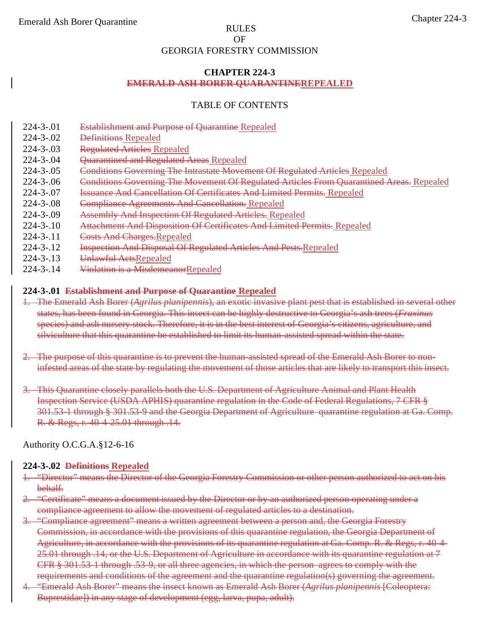## OF GEORGIA FORESTRY COMMISSION

#### **CHAPTER 224-3 EMERALD ASH BORER QUARANTINEREPEALED**

## TABLE OF CONTENTS

- 224-3-.01 Establishment and Purpose of Quarantine Repealed
- 224-3-.02 Definitions Repealed
- 224-3-.03 Regulated Articles Repealed
- 224-3-.04 **Quarantined and Regulated Areas Repealed**
- 224-3-.05 Conditions Governing The Intrastate Movement Of Regulated Articles Repealed
- 224-3-.06 Conditions Governing The Movement Of Regulated Articles From Quarantined Areas. Repealed
- 224-3-.07 Issuance And Cancellation Of Certificates And Limited Permits. Repealed
- 224-3-.08 Compliance Agreements And Cancellation. Repealed
- 224-3-.09 Assembly And Inspection Of Regulated Articles. Repealed
- 224-3-.10 Attachment And Disposition Of Certificates And Limited Permits. Repealed
- 224-3-.11 Costs And Charges.Repealed
- 224-3-.12 **Inspection And Disposal Of Regulated Articles And Pests. Repealed**
- 224-3-.13 Unlawful ActsRepealed
- 224-3-.14 Violation is a MisdemeanorRepealed

## **224-3-.01 Establishment and Purpose of Quarantine Repealed**

- 1. The Emerald Ash Borer (*Agrilus planipennis*), an exotic invasive plant pest that is established in several other states, has been found in Georgia. This insect can be highly destructive to Georgia's ash trees (*Fraxinus* species) and ash nursery stock. Therefore, it is in the best interest of Georgia's citizens, agriculture, and silviculture that this quarantine be established to limit its human-assisted spread within the state.
- 2. The purpose of this quarantine is to prevent the human-assisted spread of the Emerald Ash Borer to noninfested areas of the state by regulating the movement of those articles that are likely to transport this insect.
- 3. This Quarantine closely parallels both the U.S. Department of Agriculture Animal and Plant Health Inspection Service (USDA APHIS) quarantine regulation in the Code of Federal Regulations, 7 CFR § 301.53-1 through § 301.53-9 and the Georgia Department of Agriculture quarantine regulation at Ga. Comp. R. & Regs, r. 40-4-25.01 through .14.

Authority O.C.G.A.§12-6-16

## **224-3-.02 Definitions Repealed**

- 1. "Director" means the Director of the Georgia Forestry Commission or other person authorized to act on his behalf.
- 2. "Certificate" means a document issued by the Director or by an authorized person operating under a compliance agreement to allow the movement of regulated articles to a destination.
- 3. "Compliance agreement" means a written agreement between a person and, the Georgia Forestry Commission, in accordance with the provisions of this quarantine regulation, the Georgia Department of Agriculture, in accordance with the provisions of its quarantine regulation at Ga. Comp. R. & Regs, r. 40-4- 25.01 through .14, or the U.S. Department of Agriculture in accordance with its quarantine regulation at 7 CFR § 301.53-1 through .53-9, or all three agencies, in which the person agrees to comply with the requirements and conditions of the agreement and the quarantine regulation(s) governing the agreement.
- 4. "Emerald Ash Borer" means the insect known as Emerald Ash Borer (*Agrilus planipennis* [Coleoptera: Buprestidae]) in any stage of development (egg, larva, pupa, adult).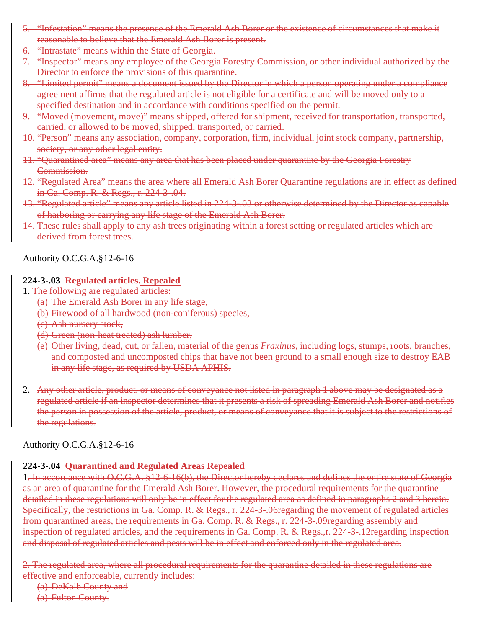- 5. "Infestation" means the presence of the Emerald Ash Borer or the existence of circumstances that make it reasonable to believe that the Emerald Ash Borer is present.
- 6. "Intrastate" means within the State of Georgia.
- 7. "Inspector" means any employee of the Georgia Forestry Commission, or other individual authorized by the Director to enforce the provisions of this quarantine.
- 8. "Limited permit" means a document issued by the Director in which a person operating under a compliance agreement affirms that the regulated article is not eligible for a certificate and will be moved only to a specified destination and in accordance with conditions specified on the permit.
- 9. "Moved (movement, move)" means shipped, offered for shipment, received for transportation, transported, carried, or allowed to be moved, shipped, transported, or carried.
- 10. "Person" means any association, company, corporation, firm, individual, joint stock company, partnership, society, or any other legal entity.
- 11. "Quarantined area" means any area that has been placed under quarantine by the Georgia Forestry Commission.
- 12. "Regulated Area" means the area where all Emerald Ash Borer Quarantine regulations are in effect as defined in Ga. Comp. R. & Regs., r. 224-3-.04.
- 13. "Regulated article" means any article listed in 224-3-.03 or otherwise determined by the Director as capable of harboring or carrying any life stage of the Emerald Ash Borer.
- 14. These rules shall apply to any ash trees originating within a forest setting or regulated articles which are derived from forest trees.

## **224-3-.03 Regulated articles. Repealed**

- 1. The following are regulated articles:
	- (a) The Emerald Ash Borer in any life stage,
	- (b) Firewood of all hardwood (non-coniferous) species,
	- (c) Ash nursery stock,
	- (d) Green (non-heat treated) ash lumber,
	- (e) Other living, dead, cut, or fallen, material of the genus *Fraxinus*, including logs, stumps, roots, branches, and composted and uncomposted chips that have not been ground to a small enough size to destroy EAB in any life stage, as required by USDA APHIS.
- 2. Any other article, product, or means of conveyance not listed in paragraph 1 above may be designated as a regulated article if an inspector determines that it presents a risk of spreading Emerald Ash Borer and notifies the person in possession of the article, product, or means of conveyance that it is subject to the restrictions of the regulations.

Authority O.C.G.A.§12-6-16

## **224-3-.04 Quarantined and Regulated Areas Repealed**

1. In accordance with O.C.G.A. §12-6-16(b), the Director hereby declares and defines the entire state of Georgia as an area of quarantine for the Emerald Ash Borer. However, the procedural requirements for the quarantine detailed in these regulations will only be in effect for the regulated area as defined in paragraphs 2 and 3 herein. Specifically, the restrictions in Ga. Comp. R. & Regs., r. 224-3-.06regarding the movement of regulated articles from quarantined areas, the requirements in Ga. Comp. R. & Regs., r. 224-3-.09regarding assembly and inspection of regulated articles, and the requirements in Ga. Comp. R. & Regs., r. 224-3-.12 regarding inspection and disposal of regulated articles and pests will be in effect and enforced only in the regulated area.

2. The regulated area, where all procedural requirements for the quarantine detailed in these regulations are effective and enforceable, currently includes:

(a) DeKalb County and

(a) Fulton County.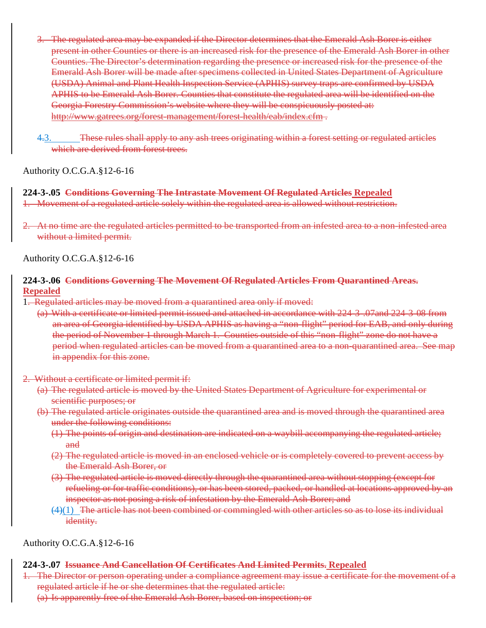- 3. The regulated area may be expanded if the Director determines that the Emerald Ash Borer is either present in other Counties or there is an increased risk for the presence of the Emerald Ash Borer in other Counties. The Director's determination regarding the presence or increased risk for the presence of the Emerald Ash Borer will be made after specimens collected in United States Department of Agriculture (USDA) Animal and Plant Health Inspection Service (APHIS) survey traps are confirmed by USDA APHIS to be Emerald Ash Borer. Counties that constitute the regulated area will be identified on the Georgia Forestry Commission's website where they will be conspicuously posted at: http://www.gatrees.org/forest-management/forest-health/eab/index.cfm.
- 4.3. These rules shall apply to any ash trees originating within a forest setting or regulated articles which are derived from forest trees.

#### **224-3-.05 Conditions Governing The Intrastate Movement Of Regulated Articles Repealed**

- 1. Movement of a regulated article solely within the regulated area is allowed without restriction.
- 2. At no time are the regulated articles permitted to be transported from an infested area to a non-infested area without a limited permit.

Authority O.C.G.A.§12-6-16

#### **224-3-.06 Conditions Governing The Movement Of Regulated Articles From Quarantined Areas. Repealed**

- 1. Regulated articles may be moved from a quarantined area only if moved:
	- (a) With a certificate or limited permit issued and attached in accordance with 224-3-.07and 224-3-08 from an area of Georgia identified by USDA APHIS as having a "non-flight" period for EAB, and only during the period of November 1 through March 1. Counties outside of this "non-flight" zone do not have a period when regulated articles can be moved from a quarantined area to a non-quarantined area. See map in appendix for this zone.
- 2. Without a certificate or limited permit if:
	- (a) The regulated article is moved by the United States Department of Agriculture for experimental or scientific purposes; or
	- (b) The regulated article originates outside the quarantined area and is moved through the quarantined area under the following conditions:
		- (1) The points of origin and destination are indicated on a waybill accompanying the regulated article; and
		- (2) The regulated article is moved in an enclosed vehicle or is completely covered to prevent access by the Emerald Ash Borer, or
		- (3) The regulated article is moved directly through the quarantined area without stopping (except for refueling or for traffic conditions), or has been stored, packed, or handled at locations approved by an inspector as not posing a risk of infestation by the Emerald Ash Borer; and
		- $(4)(1)$  The article has not been combined or commingled with other articles so as to lose its individual identity.

Authority O.C.G.A.§12-6-16

#### **224-3-.07 Issuance And Cancellation Of Certificates And Limited Permits. Repealed**

1. The Director or person operating under a compliance agreement may issue a certificate for the movement of a regulated article if he or she determines that the regulated article: (a) Is apparently free of the Emerald Ash Borer, based on inspection; or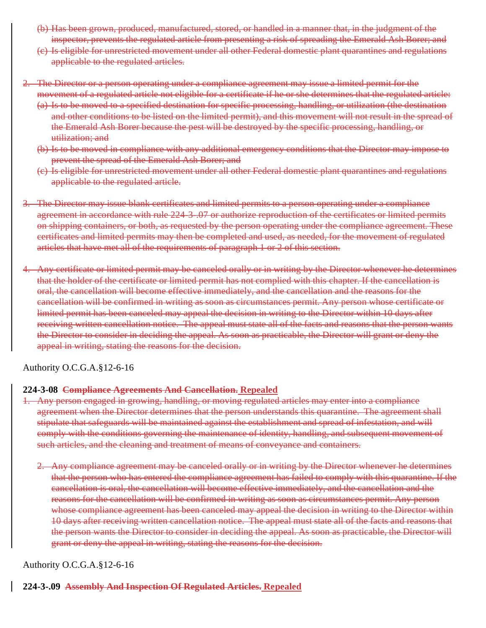- (b) Has been grown, produced, manufactured, stored, or handled in a manner that, in the judgment of the inspector, prevents the regulated article from presenting a risk of spreading the Emerald Ash Borer; and
- (c) Is eligible for unrestricted movement under all other Federal domestic plant quarantines and regulations applicable to the regulated articles.
- 2. The Director or a person operating under a compliance agreement may issue a limited permit for the movement of a regulated article not eligible for a certificate if he or she determines that the regulated article:
	- (a) Is to be moved to a specified destination for specific processing, handling, or utilization (the destination and other conditions to be listed on the limited permit), and this movement will not result in the spread of the Emerald Ash Borer because the pest will be destroyed by the specific processing, handling, or utilization; and
	- (b) Is to be moved in compliance with any additional emergency conditions that the Director may impose to prevent the spread of the Emerald Ash Borer; and
	- (c) Is eligible for unrestricted movement under all other Federal domestic plant quarantines and regulations applicable to the regulated article.
- 3. The Director may issue blank certificates and limited permits to a person operating under a compliance agreement in accordance with rule 224-3 .07 or authorize reproduction of the certificates or limited permits on shipping containers, or both, as requested by the person operating under the compliance agreement. These certificates and limited permits may then be completed and used, as needed, for the movement of regulated articles that have met all of the requirements of paragraph 1 or 2 of this section.
- 4. Any certificate or limited permit may be canceled orally or in writing by the Director whenever he determines that the holder of the certificate or limited permit has not complied with this chapter. If the cancellation is oral, the cancellation will become effective immediately, and the cancellation and the reasons for the cancellation will be confirmed in writing as soon as circumstances permit. Any person whose certificate or limited permit has been canceled may appeal the decision in writing to the Director within 10 days after receiving written cancellation notice. The appeal must state all of the facts and reasons that the person wants the Director to consider in deciding the appeal. As soon as practicable, the Director will grant or deny the appeal in writing, stating the reasons for the decision.

## **224-3-08 Compliance Agreements And Cancellation. Repealed**

- 1. Any person engaged in growing, handling, or moving regulated articles may enter into a compliance agreement when the Director determines that the person understands this quarantine. The agreement shall stipulate that safeguards will be maintained against the establishment and spread of infestation, and will comply with the conditions governing the maintenance of identity, handling, and subsequent movement of such articles, and the cleaning and treatment of means of conveyance and containers.
	- 2. Any compliance agreement may be canceled orally or in writing by the Director whenever he determines that the person who has entered the compliance agreement has failed to comply with this quarantine. If the cancellation is oral, the cancellation will become effective immediately, and the cancellation and the reasons for the cancellation will be confirmed in writing as soon as circumstances permit. Any person whose compliance agreement has been canceled may appeal the decision in writing to the Director within 10 days after receiving written cancellation notice. The appeal must state all of the facts and reasons that the person wants the Director to consider in deciding the appeal. As soon as practicable, the Director will grant or deny the appeal in writing, stating the reasons for the decision.

## Authority O.C.G.A.§12-6-16

**224-3-.09 Assembly And Inspection Of Regulated Articles. Repealed**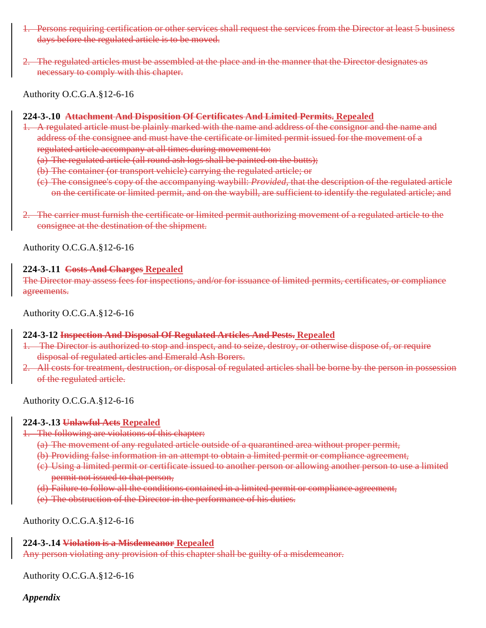- 1. Persons requiring certification or other services shall request the services from the Director at least 5 business days before the regulated article is to be moved.
- 2. The regulated articles must be assembled at the place and in the manner that the Director designates as necessary to comply with this chapter.

#### **224-3-.10 Attachment And Disposition Of Certificates And Limited Permits. Repealed**

- 1. A regulated article must be plainly marked with the name and address of the consignor and the name and address of the consignee and must have the certificate or limited permit issued for the movement of a regulated article accompany at all times during movement to:
	- (a) The regulated article (all round ash logs shall be painted on the butts);
	- (b) The container (or transport vehicle) carrying the regulated article; or
	- (c) The consignee's copy of the accompanying waybill: *Provided,* that the description of the regulated article on the certificate or limited permit, and on the waybill, are sufficient to identify the regulated article; and
- 2. The carrier must furnish the certificate or limited permit authorizing movement of a regulated article to the consignee at the destination of the shipment.

Authority O.C.G.A.§12-6-16

#### **224-3-.11 Costs And Charges Repealed**

The Director may assess fees for inspections, and/or for issuance of limited permits, certificates, or compliance agreements.

Authority O.C.G.A.§12-6-16

#### **224-3-12 Inspection And Disposal Of Regulated Articles And Pests. Repealed**

- 1. The Director is authorized to stop and inspect, and to seize, destroy, or otherwise dispose of, or require disposal of regulated articles and Emerald Ash Borers.
- 2. All costs for treatment, destruction, or disposal of regulated articles shall be borne by the person in possession of the regulated article.

Authority O.C.G.A.§12-6-16

#### **224-3-.13 Unlawful Acts Repealed**

- 1. The following are violations of this chapter:
	- (a) The movement of any regulated article outside of a quarantined area without proper permit,
	- (b) Providing false information in an attempt to obtain a limited permit or compliance agreement,
	- (c) Using a limited permit or certificate issued to another person or allowing another person to use a limited permit not issued to that person,
	- (d) Failure to follow all the conditions contained in a limited permit or compliance agreement,
	- (e) The obstruction of the Director in the performance of his duties.

Authority O.C.G.A.§12-6-16

#### **224-3-.14 Violation is a Misdemeanor Repealed**

Any person violating any provision of this chapter shall be guilty of a misdemeanor.

Authority O.C.G.A.§12-6-16

*Appendix*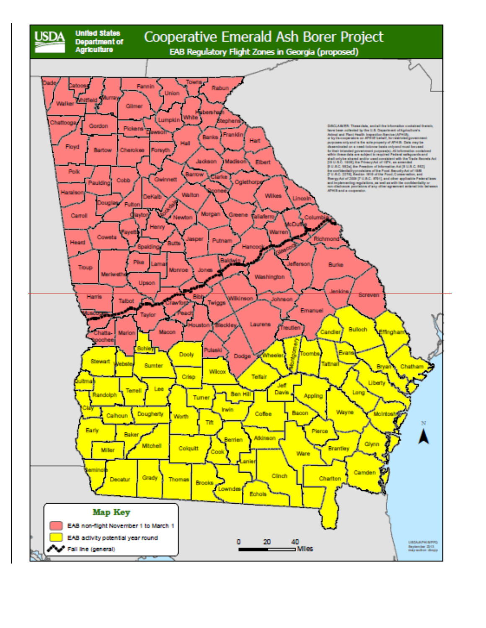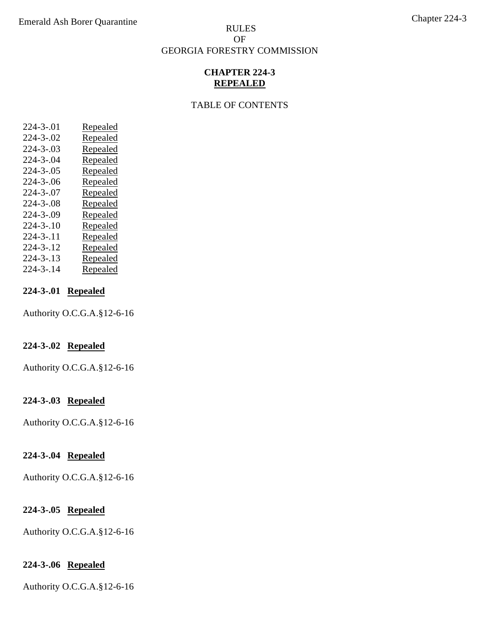# OF GEORGIA FORESTRY COMMISSION

## **CHAPTER 224-3 REPEALED**

## TABLE OF CONTENTS

| $224 - 3 - 01$ | Repealed |
|----------------|----------|
| 224-3-.02      | Repealed |
| $224 - 3 - 03$ | Repealed |
| 224-3-.04      | Repealed |
| 224-3-.05      | Repealed |
| 224-3-.06      | Repealed |
| 224-3-.07      | Repealed |
| 224-3-.08      | Repealed |
| 224-3-.09      | Repealed |
| $224 - 3 - 10$ | Repealed |
| 224-3-.11      | Repealed |
| 224-3-.12      | Repealed |
| 224-3-.13      | Repealed |
| 224-3-.14      | Repealed |

## **224-3-.01 Repealed**

Authority O.C.G.A.§12-6-16

## **224-3-.02 Repealed**

Authority O.C.G.A.§12-6-16

## **224-3-.03 Repealed**

Authority O.C.G.A.§12-6-16

## **224-3-.04 Repealed**

Authority O.C.G.A.§12-6-16

## **224-3-.05 Repealed**

Authority O.C.G.A.§12-6-16

## **224-3-.06 Repealed**

Authority O.C.G.A.§12-6-16